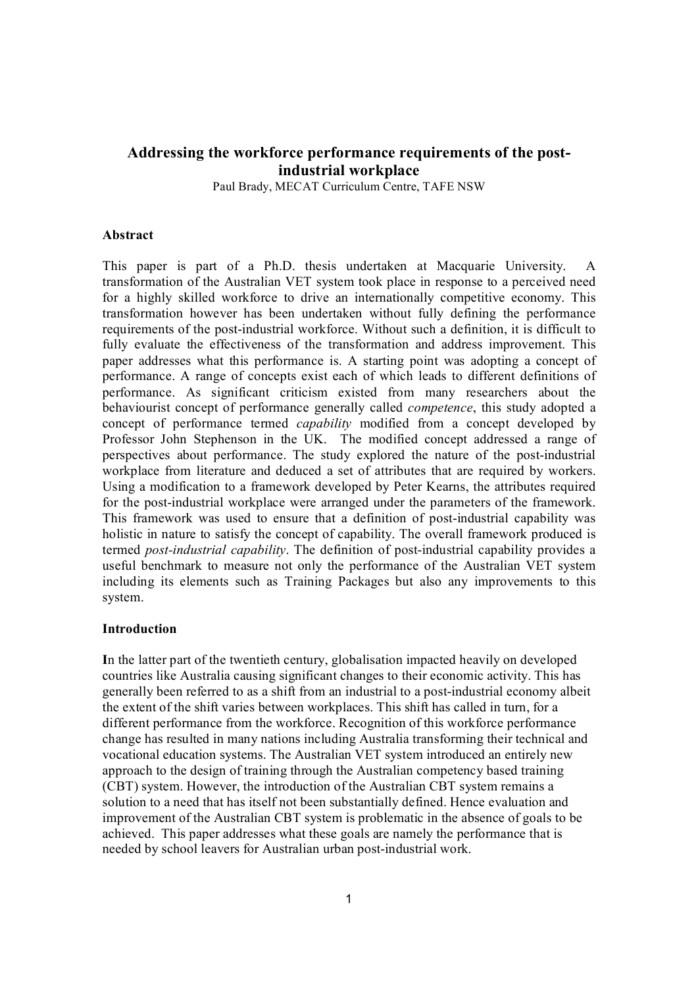# **Addressing the workforce performance requirements of the postindustrial workplace**

Paul Brady, MECAT Curriculum Centre, TAFE NSW

#### **Abstract**

This paper is part of a Ph.D. thesis undertaken at Macquarie University. A transformation of the Australian VET system took place in response to a perceived need for a highly skilled workforce to drive an internationally competitive economy. This transformation however has been undertaken without fully defining the performance requirements of the post-industrial workforce. Without such a definition, it is difficult to fully evaluate the effectiveness of the transformation and address improvement. This paper addresses what this performance is. A starting point was adopting a concept of performance. A range of concepts exist each of which leads to different definitions of performance. As significant criticism existed from many researchers about the behaviourist concept of performance generally called *competence*, this study adopted a concept of performance termed *capability* modified from a concept developed by Professor John Stephenson in the UK. The modified concept addressed a range of perspectives about performance. The study explored the nature of the post-industrial workplace from literature and deduced a set of attributes that are required by workers. Using a modification to a framework developed by Peter Kearns, the attributes required for the post-industrial workplace were arranged under the parameters of the framework. This framework was used to ensure that a definition of post-industrial capability was holistic in nature to satisfy the concept of capability. The overall framework produced is termed *postindustrial capability*. The definition of postindustrial capability provides a useful benchmark to measure not only the performance of the Australian VET system including its elements such as Training Packages but also any improvements to this system.

#### **Introduction**

**I**n the latter part of the twentieth century, globalisation impacted heavily on developed countries like Australia causing significant changes to their economic activity. This has generally been referred to as a shift from an industrial to a postindustrial economy albeit the extent of the shift varies between workplaces. This shift has called in turn, for a different performance from the workforce. Recognition of this workforce performance change has resulted in many nations including Australia transforming their technical and vocational education systems. The Australian VET system introduced an entirely new approach to the design of training through the Australian competency based training (CBT) system. However, the introduction of the Australian CBT system remains a solution to a need that has itself not been substantially defined. Hence evaluation and improvement of the Australian CBT system is problematic in the absence of goals to be achieved. This paper addresses what these goals are namely the performance that is needed by school leavers for Australian urban post-industrial work.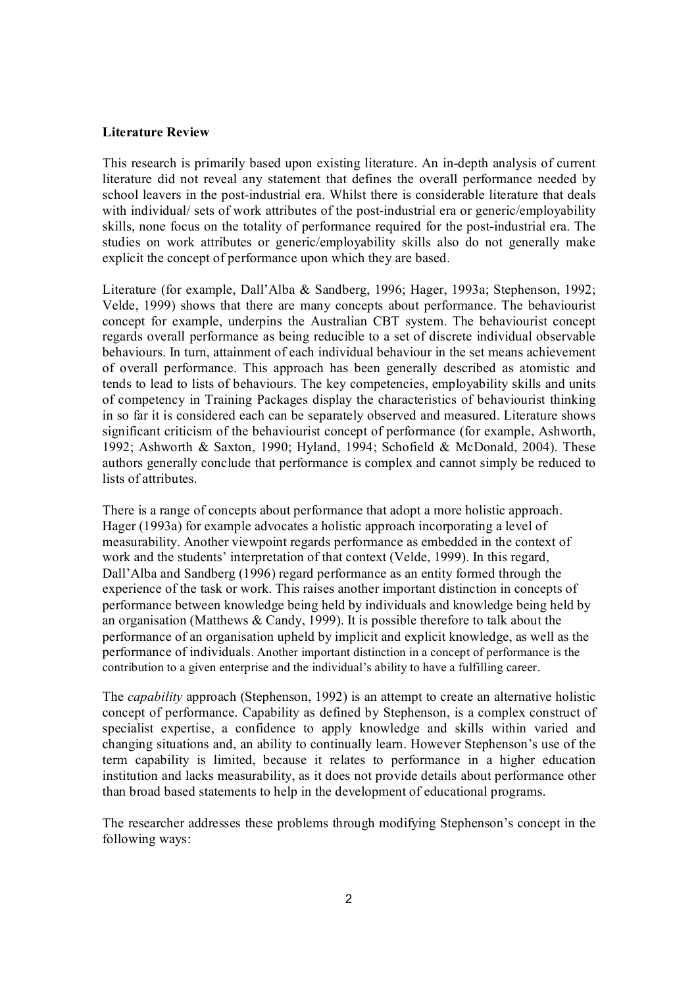#### **Literature Review**

This research is primarily based upon existing literature. An in-depth analysis of current literature did not reveal any statement that defines the overall performance needed by school leavers in the post-industrial era. Whilst there is considerable literature that deals with individual/ sets of work attributes of the post-industrial era or generic/employability skills, none focus on the totality of performance required for the post-industrial era. The studies on work attributes or generic/employability skills also do not generally make explicit the concept of performance upon which they are based.

Literature (for example, Dall'Alba & Sandberg, 1996; Hager, 1993a; Stephenson, 1992; Velde, 1999) shows that there are many concepts about performance. The behaviourist concept for example, underpins the Australian CBT system. The behaviourist concept regards overall performance as being reducible to a set of discrete individual observable behaviours. In turn, attainment of each individual behaviour in the set means achievement of overall performance. This approach has been generally described as atomistic and tends to lead to lists of behaviours. The key competencies, employability skills and units of competency in Training Packages display the characteristics of behaviourist thinking in so far it is considered each can be separately observed and measured. Literature shows significant criticism of the behaviourist concept of performance (for example, Ashworth, 1992; Ashworth & Saxton, 1990; Hyland, 1994; Schofield & McDonald, 2004). These authors generally conclude that performance is complex and cannot simply be reduced to lists of attributes.

There is a range of concepts about performance that adopt a more holistic approach. Hager (1993a) for example advocates a holistic approach incorporating a level of measurability. Another viewpoint regards performance as embedded in the context of work and the students' interpretation of that context (Velde, 1999). In this regard, Dall'Alba and Sandberg (1996) regard performance as an entity formed through the experience of the task or work. This raises another important distinction in concepts of performance between knowledge being held by individuals and knowledge being held by an organisation (Matthews & Candy, 1999). It is possible therefore to talk about the performance of an organisation upheld by implicit and explicit knowledge, as well as the performance of individuals. Another important distinction in a concept of performance is the contribution to a given enterprise and the individual's ability to have a fulfilling career.

The *capability* approach (Stephenson, 1992) is an attempt to create an alternative holistic concept of performance. Capability as defined by Stephenson, is a complex construct of specialist expertise, a confidence to apply knowledge and skills within varied and changing situations and, an ability to continually learn. However Stephenson's use of the term capability is limited, because it relates to performance in a higher education institution and lacks measurability, as it does not provide details about performance other than broad based statements to help in the development of educational programs.

The researcher addresses these problems through modifying Stephenson's concept in the following ways: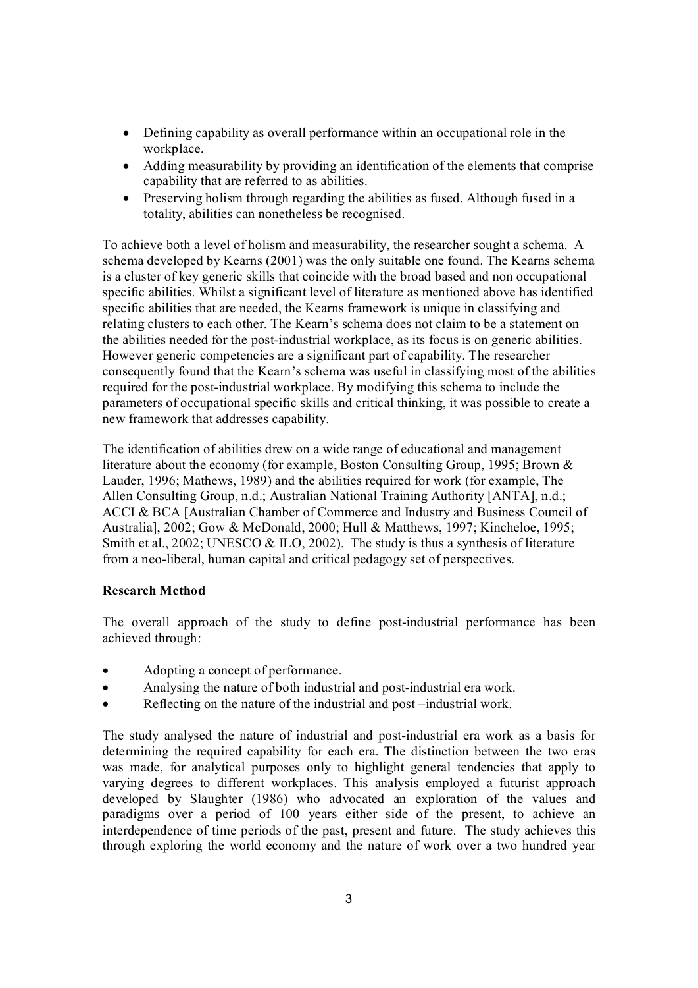- Defining capability as overall performance within an occupational role in the workplace.
- · Adding measurability by providing an identification of the elements that comprise capability that are referred to as abilities.
- · Preserving holism through regarding the abilities as fused. Although fused in a totality, abilities can nonetheless be recognised.

To achieve both a level of holism and measurability, the researcher sought a schema. A schema developed by Kearns (2001) was the only suitable one found. The Kearns schema is a cluster of key generic skills that coincide with the broad based and non occupational specific abilities. Whilst a significant level of literature as mentioned above has identified specific abilities that are needed, the Kearns framework is unique in classifying and relating clusters to each other. The Kearn's schema does not claim to be a statement on the abilities needed for the post-industrial workplace, as its focus is on generic abilities. However generic competencies are a significant part of capability. The researcher consequently found that the Kearn's schema was useful in classifying most of the abilities required for the post-industrial workplace. By modifying this schema to include the parameters of occupational specific skills and critical thinking, it was possible to create a new framework that addresses capability.

The identification of abilities drew on a wide range of educational and management literature about the economy (for example, Boston Consulting Group, 1995; Brown & Lauder, 1996; Mathews, 1989) and the abilities required for work (for example, The Allen Consulting Group, n.d.; Australian National Training Authority [ANTA], n.d.; ACCI & BCA [Australian Chamber of Commerce and Industry and Business Council of Australia], 2002; Gow & McDonald, 2000; Hull & Matthews, 1997; Kincheloe, 1995; Smith et al.,  $2002$ ; UNESCO & ILO,  $2002$ ). The study is thus a synthesis of literature from a neo-liberal, human capital and critical pedagogy set of perspectives.

# **Research Method**

The overall approach of the study to define post-industrial performance has been achieved through:

- · Adopting a concept of performance.
- Analysing the nature of both industrial and post-industrial era work.
- Reflecting on the nature of the industrial and post –industrial work.

The study analysed the nature of industrial and post-industrial era work as a basis for determining the required capability for each era. The distinction between the two eras was made, for analytical purposes only to highlight general tendencies that apply to varying degrees to different workplaces. This analysis employed a futurist approach developed by Slaughter (1986) who advocated an exploration of the values and paradigms over a period of 100 years either side of the present, to achieve an interdependence of time periods of the past, present and future. The study achieves this through exploring the world economy and the nature of work over a two hundred year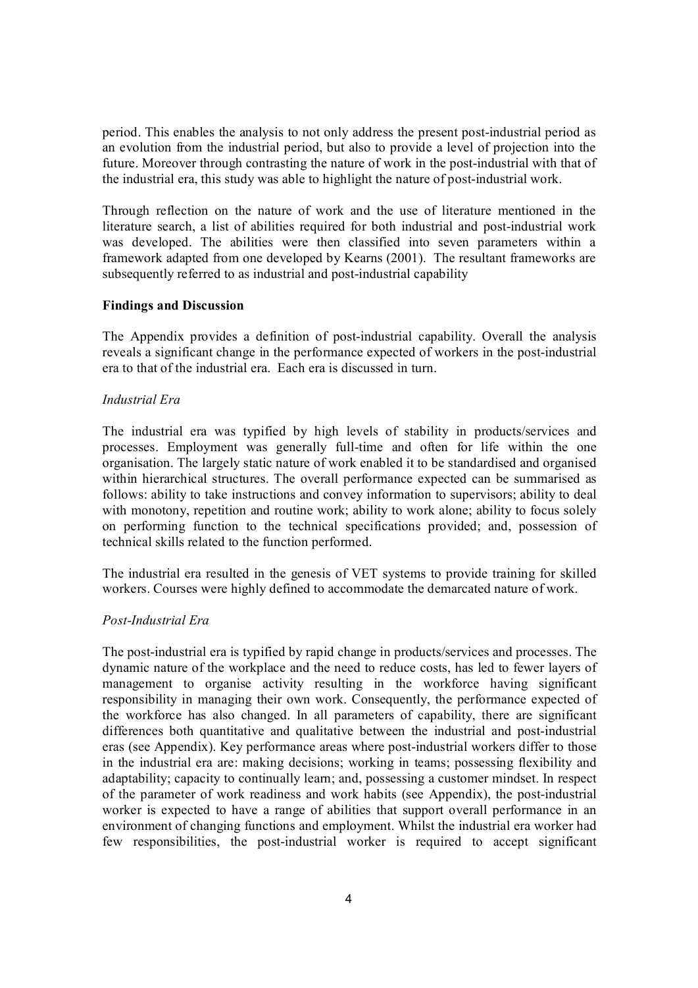period. This enables the analysis to not only address the present postindustrial period as an evolution from the industrial period, but also to provide a level of projection into the future. Moreover through contrasting the nature of work in the post-industrial with that of the industrial era, this study was able to highlight the nature of post-industrial work.

Through reflection on the nature of work and the use of literature mentioned in the literature search, a list of abilities required for both industrial and post-industrial work was developed. The abilities were then classified into seven parameters within a framework adapted from one developed by Kearns (2001). The resultant frameworks are subsequently referred to as industrial and post-industrial capability

## **Findings and Discussion**

The Appendix provides a definition of post-industrial capability. Overall the analysis reveals a significant change in the performance expected of workers in the post-industrial era to that of the industrial era. Each era is discussed in turn.

## *Industrial Era*

The industrial era was typified by high levels of stability in products/services and processes. Employment was generally full-time and often for life within the one organisation. The largely static nature of work enabled it to be standardised and organised within hierarchical structures. The overall performance expected can be summarised as follows: ability to take instructions and convey information to supervisors; ability to deal with monotony, repetition and routine work; ability to work alone; ability to focus solely on performing function to the technical specifications provided; and, possession of technical skills related to the function performed.

The industrial era resulted in the genesis of VET systems to provide training for skilled workers. Courses were highly defined to accommodate the demarcated nature of work.

## *Post-Industrial Era*

The post-industrial era is typified by rapid change in products/services and processes. The dynamic nature of the workplace and the need to reduce costs, has led to fewer layers of management to organise activity resulting in the workforce having significant responsibility in managing their own work. Consequently, the performance expected of the workforce has also changed. In all parameters of capability, there are significant differences both quantitative and qualitative between the industrial and post-industrial eras (see Appendix). Key performance areas where post-industrial workers differ to those in the industrial era are: making decisions; working in teams; possessing flexibility and adaptability; capacity to continually learn; and, possessing a customer mindset. In respect of the parameter of work readiness and work habits (see Appendix), the post-industrial worker is expected to have a range of abilities that support overall performance in an environment of changing functions and employment. Whilst the industrial era worker had few responsibilities, the post-industrial worker is required to accept significant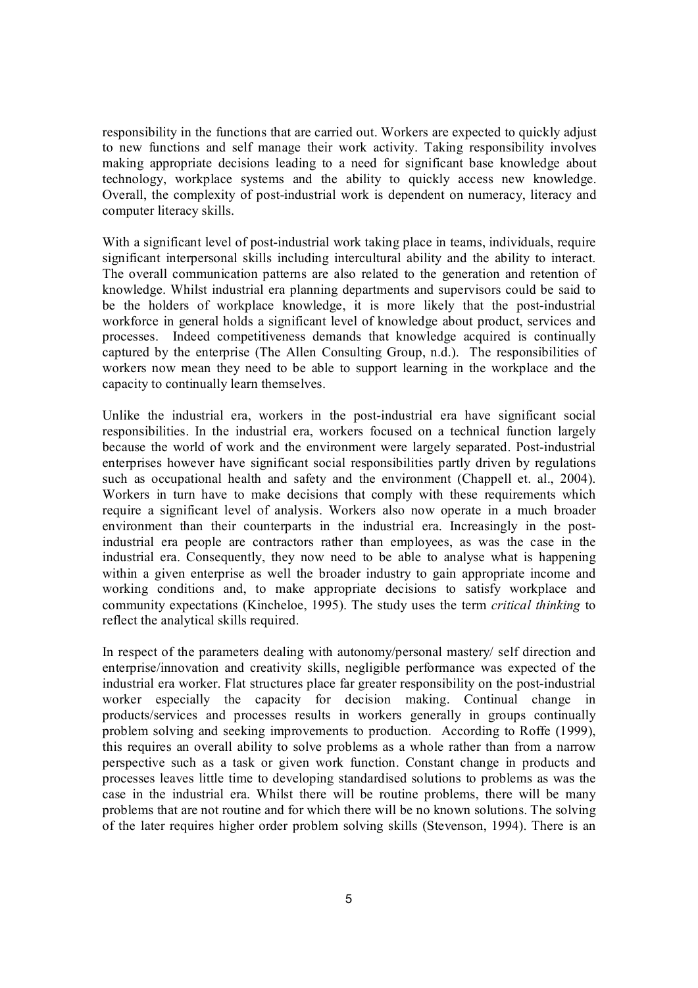responsibility in the functions that are carried out. Workers are expected to quickly adjust to new functions and self manage their work activity. Taking responsibility involves making appropriate decisions leading to a need for significant base knowledge about technology, workplace systems and the ability to quickly access new knowledge. Overall, the complexity of post-industrial work is dependent on numeracy, literacy and computer literacy skills.

With a significant level of post-industrial work taking place in teams, individuals, require significant interpersonal skills including intercultural ability and the ability to interact. The overall communication patterns are also related to the generation and retention of knowledge. Whilst industrial era planning departments and supervisors could be said to be the holders of workplace knowledge, it is more likely that the post-industrial workforce in general holds a significant level of knowledge about product, services and processes. Indeed competitiveness demands that knowledge acquired is continually captured by the enterprise (The Allen Consulting Group, n.d.). The responsibilities of workers now mean they need to be able to support learning in the workplace and the capacity to continually learn themselves.

Unlike the industrial era, workers in the post-industrial era have significant social responsibilities. In the industrial era, workers focused on a technical function largely because the world of work and the environment were largely separated. Post-industrial enterprises however have significant social responsibilities partly driven by regulations such as occupational health and safety and the environment (Chappell et. al., 2004). Workers in turn have to make decisions that comply with these requirements which require a significant level of analysis. Workers also now operate in a much broader environment than their counterparts in the industrial era. Increasingly in the postindustrial era people are contractors rather than employees, as was the case in the industrial era. Consequently, they now need to be able to analyse what is happening within a given enterprise as well the broader industry to gain appropriate income and working conditions and, to make appropriate decisions to satisfy workplace and community expectations (Kincheloe, 1995). The study uses the term *critical thinking* to reflect the analytical skills required.

In respect of the parameters dealing with autonomy/personal mastery/ self direction and enterprise/innovation and creativity skills, negligible performance was expected of the industrial era worker. Flat structures place far greater responsibility on the post-industrial worker especially the capacity for decision making. Continual change in products/services and processes results in workers generally in groups continually problem solving and seeking improvements to production. According to Roffe (1999), this requires an overall ability to solve problems as a whole rather than from a narrow perspective such as a task or given work function. Constant change in products and processes leaves little time to developing standardised solutions to problems as was the case in the industrial era. Whilst there will be routine problems, there will be many problems that are not routine and for which there will be no known solutions. The solving of the later requires higher order problem solving skills (Stevenson, 1994). There is an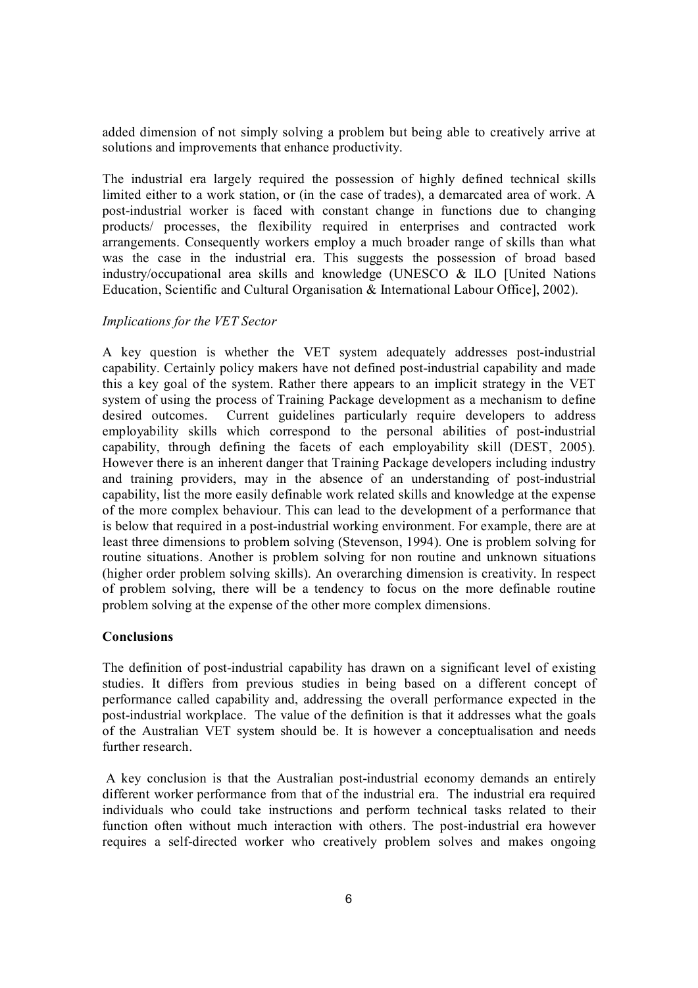added dimension of not simply solving a problem but being able to creatively arrive at solutions and improvements that enhance productivity.

The industrial era largely required the possession of highly defined technical skills limited either to a work station, or (in the case of trades), a demarcated area of work. A post-industrial worker is faced with constant change in functions due to changing products/ processes, the flexibility required in enterprises and contracted work arrangements. Consequently workers employ a much broader range of skills than what was the case in the industrial era. This suggests the possession of broad based industry/occupational area skills and knowledge (UNESCO & ILO [United Nations Education, Scientific and Cultural Organisation & International Labour Office], 2002).

## *Implications for the VET Sector*

A key question is whether the VET system adequately addresses post-industrial capability. Certainly policy makers have not defined post-industrial capability and made this a key goal of the system. Rather there appears to an implicit strategy in the VET system of using the process of Training Package development as a mechanism to define desired outcomes. Current guidelines particularly require developers to address employability skills which correspond to the personal abilities of post-industrial capability, through defining the facets of each employability skill (DEST, 2005). However there is an inherent danger that Training Package developers including industry and training providers, may in the absence of an understanding of post-industrial capability, list the more easily definable work related skills and knowledge at the expense of the more complex behaviour. This can lead to the development of a performance that is below that required in a post-industrial working environment. For example, there are at least three dimensions to problem solving (Stevenson, 1994). One is problem solving for routine situations. Another is problem solving for non routine and unknown situations (higher order problem solving skills). An overarching dimension is creativity. In respect of problem solving, there will be a tendency to focus on the more definable routine problem solving at the expense of the other more complex dimensions.

# **Conclusions**

The definition of post-industrial capability has drawn on a significant level of existing studies. It differs from previous studies in being based on a different concept of performance called capability and, addressing the overall performance expected in the post-industrial workplace. The value of the definition is that it addresses what the goals of the Australian VET system should be. It is however a conceptualisation and needs further research.

A key conclusion is that the Australian post-industrial economy demands an entirely different worker performance from that of the industrial era. The industrial era required individuals who could take instructions and perform technical tasks related to their function often without much interaction with others. The post-industrial era however requires a self-directed worker who creatively problem solves and makes ongoing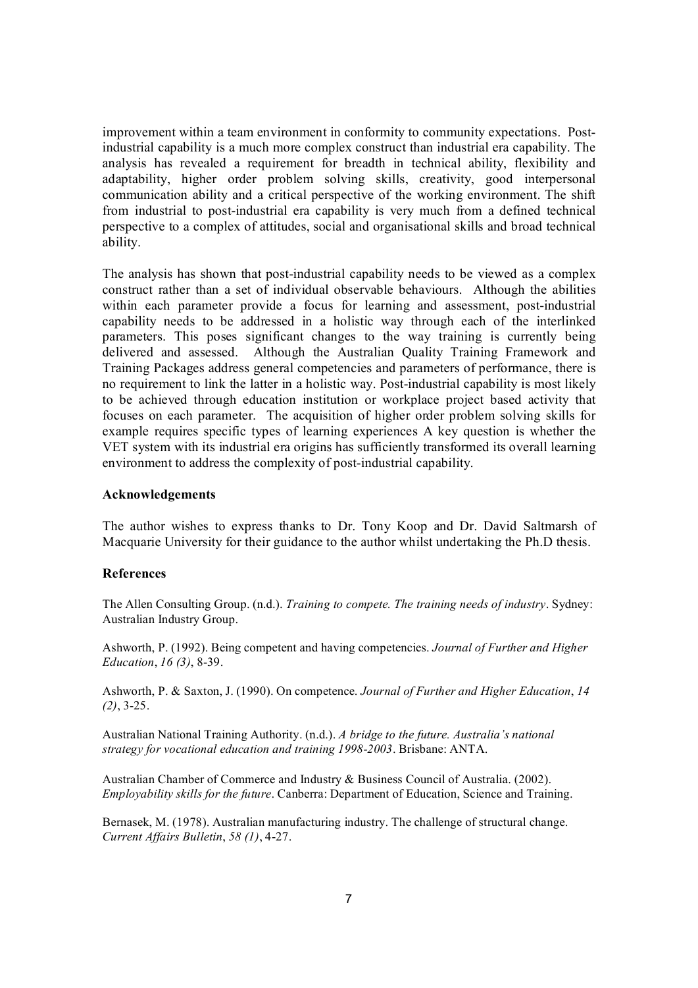improvement within a team environment in conformity to community expectations. Post industrial capability is a much more complex construct than industrial era capability. The analysis has revealed a requirement for breadth in technical ability, flexibility and adaptability, higher order problem solving skills, creativity, good interpersonal communication ability and a critical perspective of the working environment. The shift from industrial to post-industrial era capability is very much from a defined technical perspective to a complex of attitudes, social and organisational skills and broad technical ability.

The analysis has shown that post-industrial capability needs to be viewed as a complex construct rather than a set of individual observable behaviours. Although the abilities within each parameter provide a focus for learning and assessment, post-industrial capability needs to be addressed in a holistic way through each of the interlinked parameters. This poses significant changes to the way training is currently being delivered and assessed. Although the Australian Quality Training Framework and Training Packages address general competencies and parameters of performance, there is no requirement to link the latter in a holistic way. Post-industrial capability is most likely to be achieved through education institution or workplace project based activity that focuses on each parameter. The acquisition of higher order problem solving skills for example requires specific types of learning experiences A key question is whether the VET system with its industrial era origins has sufficiently transformed its overall learning environment to address the complexity of post-industrial capability.

#### **Acknowledgements**

The author wishes to express thanks to Dr. Tony Koop and Dr. David Saltmarsh of Macquarie University for their guidance to the author whilst undertaking the Ph.D thesis.

#### **References**

The Allen Consulting Group. (n.d.). *Training to compete. The training needs of industry*. Sydney: Australian Industry Group.

Ashworth, P. (1992). Being competent and having competencies. *Journal of Further and Higher Education, 16 (3), 8-39.* 

Ashworth, P. & Saxton, J. (1990). On competence. *Journal of Further and Higher Education*, *14*   $(2)$ , 3-25.

Australian National Training Authority. (n.d.). *A bridge to the future. Australia's national strategy for vocational education and training 19982003*. Brisbane: ANTA.

Australian Chamber of Commerce and Industry & Business Council of Australia. (2002). *Employability skills for the future*. Canberra: Department of Education, Science and Training.

Bernasek, M. (1978). Australian manufacturing industry. The challenge of structural change. *Current Affairs Bulletin*, *58 (1)*, 427.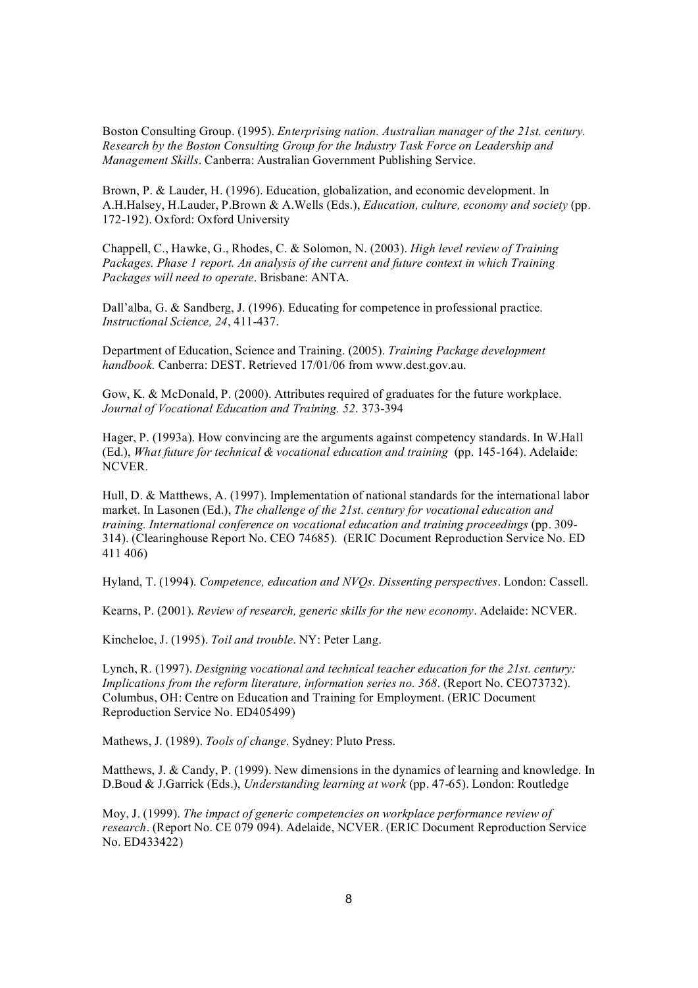Boston Consulting Group. (1995). *Enterprising nation. Australian manager of the 21st. century. Research by the Boston Consulting Group for the Industry Task Force on Leadership and Management Skills*. Canberra: Australian Government Publishing Service.

Brown, P. & Lauder, H. (1996). Education, globalization, and economic development. In A.H.Halsey, H.Lauder, P.Brown & A.Wells (Eds.), *Education, culture, economy and society* (pp. 172-192). Oxford: Oxford University

Chappell, C., Hawke, G., Rhodes, C. & Solomon, N. (2003). *High level review of Training Packages. Phase 1 report. An analysis of the current and future context in which Training Packages will need to operate*. Brisbane: ANTA.

Dall'alba, G. & Sandberg, J. (1996). Educating for competence in professional practice. *Instructional Science, 24, 411-437.* 

Department of Education, Science and Training. (2005). *Training Package development handbook.* Canberra: DEST. Retrieved 17/01/06 from www.dest.gov.au.

Gow, K. & McDonald, P. (2000). Attributes required of graduates for the future workplace. *Journal of Vocational Education and Training.* 52, 373-394

Hager, P. (1993a). How convincing are the arguments against competency standards. In W.Hall (Ed.), *What future for technical & vocational education and training* (pp. 145164). Adelaide: NCVER.

Hull, D. & Matthews, A. (1997). Implementation of national standards for the international labor market. In Lasonen (Ed.), *The challenge of the 21st. century for vocational education and training. International conference on vocational education and training proceedings* (pp. 309 314). (Clearinghouse Report No. CEO 74685). (ERIC Document Reproduction Service No. ED 411 406)

Hyland, T. (1994). *Competence, education and NVQs. Dissenting perspectives*. London: Cassell.

Kearns, P. (2001). *Review of research, generic skills for the new economy*. Adelaide: NCVER.

Kincheloe, J. (1995). *Toil and trouble*. NY: Peter Lang.

Lynch, R. (1997). *Designing vocational and technical teacher education for the 21st. century: Implications from the reform literature, information series no. 368*. (Report No. CEO73732). Columbus, OH: Centre on Education and Training for Employment. (ERIC Document Reproduction Service No. ED405499)

Mathews, J. (1989). *Tools of change*. Sydney: Pluto Press.

Matthews, J. & Candy, P. (1999). New dimensions in the dynamics of learning and knowledge. In D.Boud & J.Garrick (Eds.), *Understanding learning at work* (pp. 47-65). London: Routledge

Moy, J. (1999). *The impact of generic competencies on workplace performance review of research*. (Report No. CE 079 094). Adelaide, NCVER. (ERIC Document Reproduction Service No. ED433422)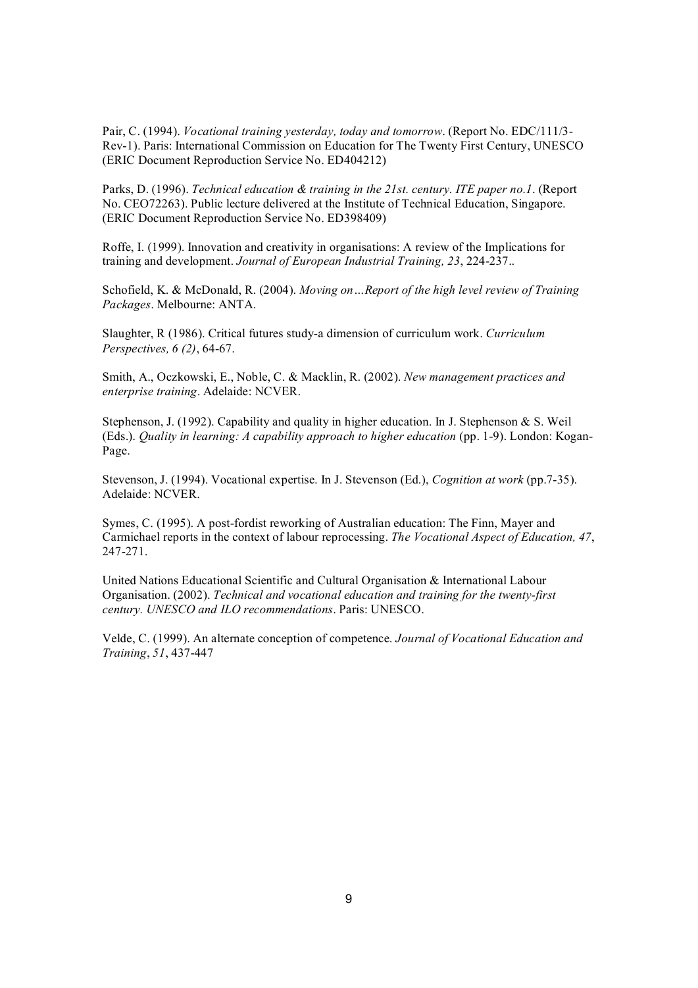Pair, C. (1994). *Vocational training yesterday, today and tomorrow*. (Report No. EDC/111/3 Rev1). Paris: International Commission on Education for The Twenty First Century, UNESCO (ERIC Document Reproduction Service No. ED404212)

Parks, D. (1996). *Technical education & training in the 21st. century. ITE paper no.1*. (Report No. CEO72263). Public lecture delivered at the Institute of Technical Education, Singapore. (ERIC Document Reproduction Service No. ED398409)

Roffe, I. (1999). Innovation and creativity in organisations: A review of the Implications for training and development. *Journal of European Industrial Training*, 23, 224-237..

Schofield, K. & McDonald, R. (2004). *Moving on…Report of the high level review of Training Packages*. Melbourne: ANTA.

Slaughter, R (1986). Critical futures studya dimension of curriculum work. *Curriculum Perspectives, 6 (2), 64-67.* 

Smith, A., Oczkowski, E., Noble, C. & Macklin, R. (2002). *New management practices and enterprise training*. Adelaide: NCVER.

Stephenson, J. (1992). Capability and quality in higher education. In J. Stephenson & S. Weil (Eds.). *Quality in learning: A capability approach to higher education* (pp. 19). London: Kogan Page.

Stevenson, J. (1994). Vocational expertise. In J. Stevenson (Ed.), *Cognition at work* (pp.735). Adelaide: NCVER.

Symes, C. (1995). A post-fordist reworking of Australian education: The Finn, Mayer and Carmichael reports in the context of labour reprocessing. *The Vocational Aspect of Education, 47*, 247-271.

United Nations Educational Scientific and Cultural Organisation & International Labour Organisation. (2002). *Technical and vocational education and training for the twentyfirst century. UNESCO and ILO recommendations*. Paris: UNESCO.

Velde, C. (1999). An alternate conception of competence. *Journal of Vocational Education and Training*, *51*, 437447